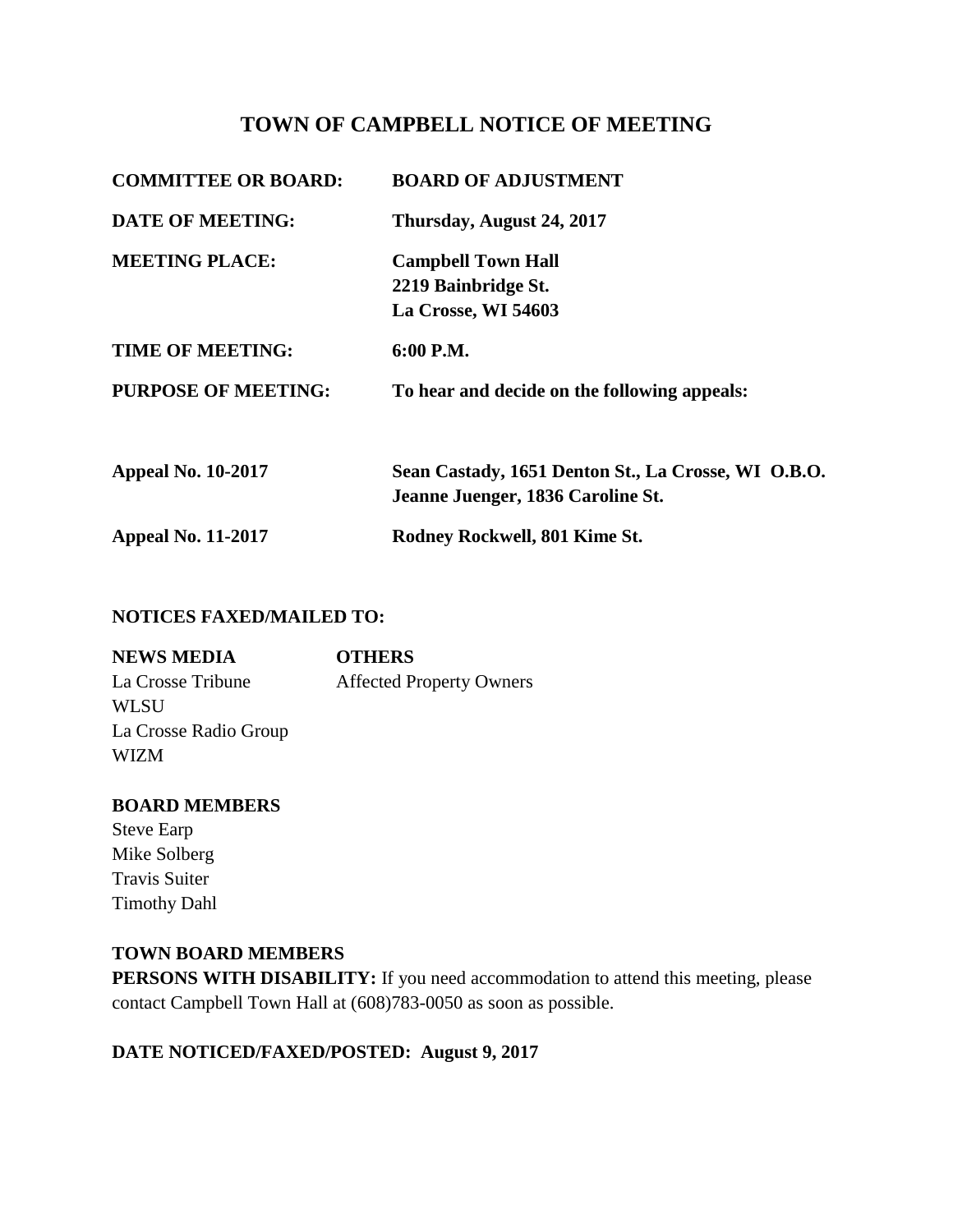# **TOWN OF CAMPBELL NOTICE OF MEETING**

| <b>COMMITTEE OR BOARD:</b> | <b>BOARD OF ADJUSTMENT</b>                          |
|----------------------------|-----------------------------------------------------|
| <b>DATE OF MEETING:</b>    | Thursday, August 24, 2017                           |
| <b>MEETING PLACE:</b>      | <b>Campbell Town Hall</b>                           |
|                            | 2219 Bainbridge St.                                 |
|                            | La Crosse, WI 54603                                 |
| <b>TIME OF MEETING:</b>    | 6:00 P.M.                                           |
| <b>PURPOSE OF MEETING:</b> | To hear and decide on the following appeals:        |
| <b>Appeal No. 10-2017</b>  | Sean Castady, 1651 Denton St., La Crosse, WI O.B.O. |
|                            | Jeanne Juenger, 1836 Caroline St.                   |
| <b>Appeal No. 11-2017</b>  | Rodney Rockwell, 801 Kime St.                       |

### **NOTICES FAXED/MAILED TO:**

| <b>NEWS MEDIA</b>     | <b>OTHERS</b>                   |
|-----------------------|---------------------------------|
| La Crosse Tribune     | <b>Affected Property Owners</b> |
| WL SU                 |                                 |
| La Crosse Radio Group |                                 |
| <b>WIZM</b>           |                                 |

### **BOARD MEMBERS**

Steve Earp Mike Solberg Travis Suiter Timothy Dahl

## **TOWN BOARD MEMBERS**

**PERSONS WITH DISABILITY:** If you need accommodation to attend this meeting, please contact Campbell Town Hall at (608)783-0050 as soon as possible.

# **DATE NOTICED/FAXED/POSTED: August 9, 2017**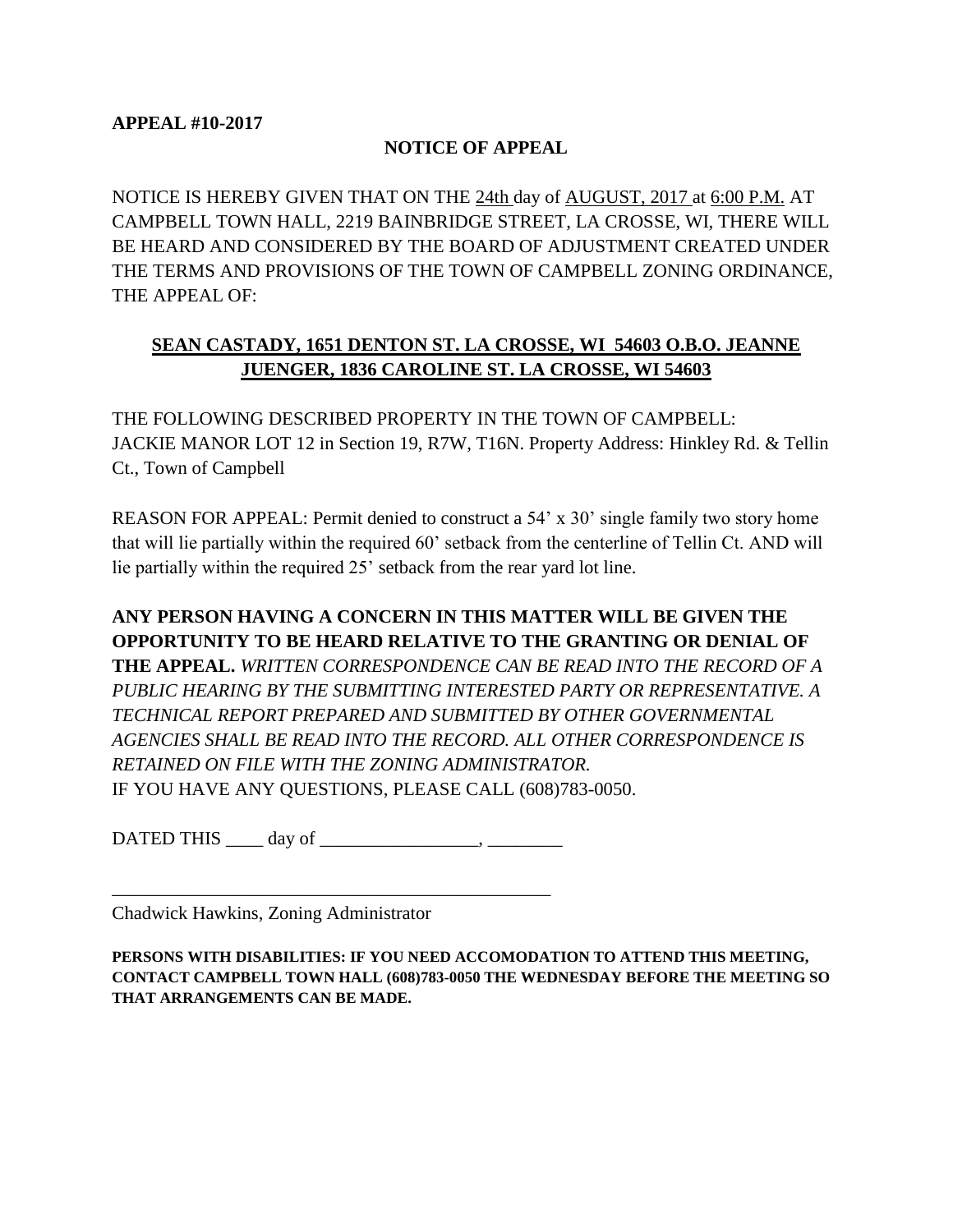#### **NOTICE OF APPEAL**

NOTICE IS HEREBY GIVEN THAT ON THE 24th day of AUGUST, 2017 at 6:00 P.M. AT CAMPBELL TOWN HALL, 2219 BAINBRIDGE STREET, LA CROSSE, WI, THERE WILL BE HEARD AND CONSIDERED BY THE BOARD OF ADJUSTMENT CREATED UNDER THE TERMS AND PROVISIONS OF THE TOWN OF CAMPBELL ZONING ORDINANCE, THE APPEAL OF:

## **SEAN CASTADY, 1651 DENTON ST. LA CROSSE, WI 54603 O.B.O. JEANNE JUENGER, 1836 CAROLINE ST. LA CROSSE, WI 54603**

THE FOLLOWING DESCRIBED PROPERTY IN THE TOWN OF CAMPBELL: JACKIE MANOR LOT 12 in Section 19, R7W, T16N. Property Address: Hinkley Rd. & Tellin Ct., Town of Campbell

REASON FOR APPEAL: Permit denied to construct a 54' x 30' single family two story home that will lie partially within the required 60' setback from the centerline of Tellin Ct. AND will lie partially within the required 25' setback from the rear yard lot line.

# **ANY PERSON HAVING A CONCERN IN THIS MATTER WILL BE GIVEN THE OPPORTUNITY TO BE HEARD RELATIVE TO THE GRANTING OR DENIAL OF THE APPEAL.** *WRITTEN CORRESPONDENCE CAN BE READ INTO THE RECORD OF A PUBLIC HEARING BY THE SUBMITTING INTERESTED PARTY OR REPRESENTATIVE. A TECHNICAL REPORT PREPARED AND SUBMITTED BY OTHER GOVERNMENTAL AGENCIES SHALL BE READ INTO THE RECORD. ALL OTHER CORRESPONDENCE IS RETAINED ON FILE WITH THE ZONING ADMINISTRATOR.*  IF YOU HAVE ANY QUESTIONS, PLEASE CALL (608)783-0050.

 $\text{DATED}$  THIS  $\_\_\_\text{day\,of}$ 

\_\_\_\_\_\_\_\_\_\_\_\_\_\_\_\_\_\_\_\_\_\_\_\_\_\_\_\_\_\_\_\_\_\_\_\_\_\_\_\_\_\_\_\_\_\_\_

Chadwick Hawkins, Zoning Administrator

**PERSONS WITH DISABILITIES: IF YOU NEED ACCOMODATION TO ATTEND THIS MEETING, CONTACT CAMPBELL TOWN HALL (608)783-0050 THE WEDNESDAY BEFORE THE MEETING SO THAT ARRANGEMENTS CAN BE MADE.**